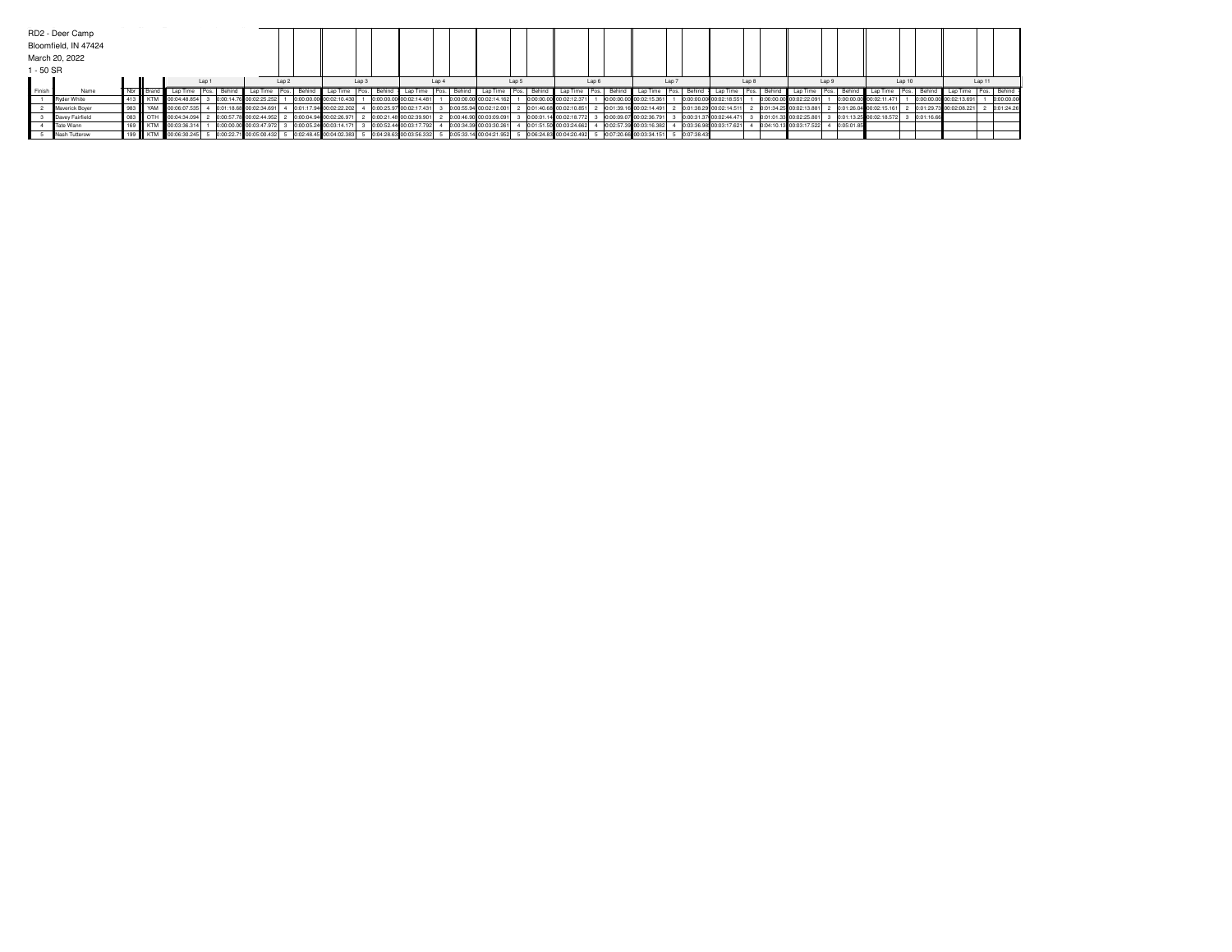|             | RD2 - Deer Camp      |     |            |                                                                             |       |        |                         |       |          |                         |       |         |                           |       |        |                           |       |        |                         |       |        |                                                     |       |              |                         |        |                         |       |            |                         |          |            |                         |        |             |
|-------------|----------------------|-----|------------|-----------------------------------------------------------------------------|-------|--------|-------------------------|-------|----------|-------------------------|-------|---------|---------------------------|-------|--------|---------------------------|-------|--------|-------------------------|-------|--------|-----------------------------------------------------|-------|--------------|-------------------------|--------|-------------------------|-------|------------|-------------------------|----------|------------|-------------------------|--------|-------------|
|             | Bloomfield, IN 47424 |     |            |                                                                             |       |        |                         |       |          |                         |       |         |                           |       |        |                           |       |        |                         |       |        |                                                     |       |              |                         |        |                         |       |            |                         |          |            |                         |        |             |
|             | March 20, 2022       |     |            |                                                                             |       |        |                         |       |          |                         |       |         |                           |       |        |                           |       |        |                         |       |        |                                                     |       |              |                         |        |                         |       |            |                         |          |            |                         |        |             |
| $1 - 50$ SR |                      |     |            |                                                                             |       |        |                         |       |          |                         |       |         |                           |       |        |                           |       |        |                         |       |        |                                                     |       |              |                         |        |                         |       |            |                         |          |            |                         |        |             |
|             |                      |     |            |                                                                             | Lap 1 |        |                         | Lap 2 |          |                         | Lap 3 |         |                           | Lap 4 |        |                           | Lap 5 |        |                         | Lap 6 |        |                                                     | Lap : |              |                         | Lap 8  |                         | Lap 9 |            |                         | Lap 10   |            |                         | Lap 11 |             |
| Finish      | Name                 | Nbr |            | Brand Lap Time   Pos.                                                       |       | Behind | Lap Time   Pos.         |       | Behind I | Lap Time                | Pos.  | Behind  | Lap Time                  | Pos.  | Behind | Lap Time   Pos.           |       | Behind | Lap Time   Pos.         |       | Behind | Lap Time   Pos.   .                                 |       | Behind       | Lap Time                | I Pos. | Behind Lap Time Pos.    |       | Behind     | Lap Time                | I Pos. I |            | Behind Lap Time         |        | Pos. Behind |
|             | Ryder White          |     |            | KTM III00:04:48.854                                                         |       |        | 0:00:14.76 00:02:25.252 |       |          | 0:00:00.00 00:02:10.430 |       |         | 0:00:00.00 00:02:14.48    |       |        | 0:00:00.00 00:02:14.162   |       |        | 0:00:00.00 00:02:12.371 |       |        | 0:00:00.00 00:02:15.361                             |       |              | 0:00:00.00 00:02:18.551 |        | 0:00:00.00 00:02:22.091 |       |            | 0:00:00.00 00:02:11.471 |          |            | 0:00:00.00 00:02:13.691 |        | 0:00:00.00  |
|             | Maverick Boyer       |     | YAM        | 00:06:07.535                                                                |       |        | 0:01:18.68 00:02:34.691 |       |          | 0:01:17.94 00:02:22.202 |       | 0:00:25 | 97 00:02:17.431           |       |        | 0:00:55.94 00:02:12.001   |       |        | 0:01:40.68 00:02:10.851 |       |        | 0:01:39.16 00:02:14.491                             |       |              | 0:01:38.29 00:02:14.511 |        | 0:01:34.25 00:02:13.881 |       |            | 0:01:26.04 00:02:15.161 |          |            | 0:01:29.73 00:02:08.221 |        | 0:01:24.26  |
|             | Davey Fairfield      |     | OTH        | 00:04:34.094                                                                |       |        | 0:00:57.78 00:02:44.952 |       |          | 0:00:04.94 00:02:26.971 |       |         | 0:00:21.48 00:02:39.90    |       |        | 0:00:46.90 00:03:09.091   |       |        | 0:00:01.14 00:02:18.772 |       |        | 0:00:09.07 00:02:36.791                             |       |              | 0:00:31.37 00:02:44.471 |        | 0:01:01.33 00:02:25.801 |       |            | 0:01:13.25 00:02:18.572 |          | 0:01:16.66 |                         |        |             |
|             | Tate Wann            |     | <b>KTM</b> | 00:03:36.314                                                                |       |        | 0:00:00.00 00:03:47.972 |       |          | 0:00:05.24 00:03:14.171 |       |         | 0:00:52.44 00:03:17.792   |       |        | 0:00:34.39 00:03:30.261   |       |        | 0:01:51.50 00:03:24.662 |       |        | 0:02:57.39 00:03:16.382                             |       |              | 0:03:36.98 00:03:17.621 |        | 0:04:10.13 00:03:17.522 |       | 0:05:01.85 |                         |          |            |                         |        |             |
|             | Nash Tutterow        |     |            | KTM    00:06:30.245   5 0:00:22.71 00:05:00.432   5 0:02:48.45 00:04:02.383 |       |        |                         |       |          |                         |       |         | 5 0:04:28.63 00:03:56.332 |       |        | 5 0:05:33.14 00:04:21.952 |       |        |                         |       |        | 5 0:06:24.83 00:04:20.492 5 0:07:20.66 00:03:34.151 |       | 5 0:07:38.43 |                         |        |                         |       |            |                         |          |            |                         |        |             |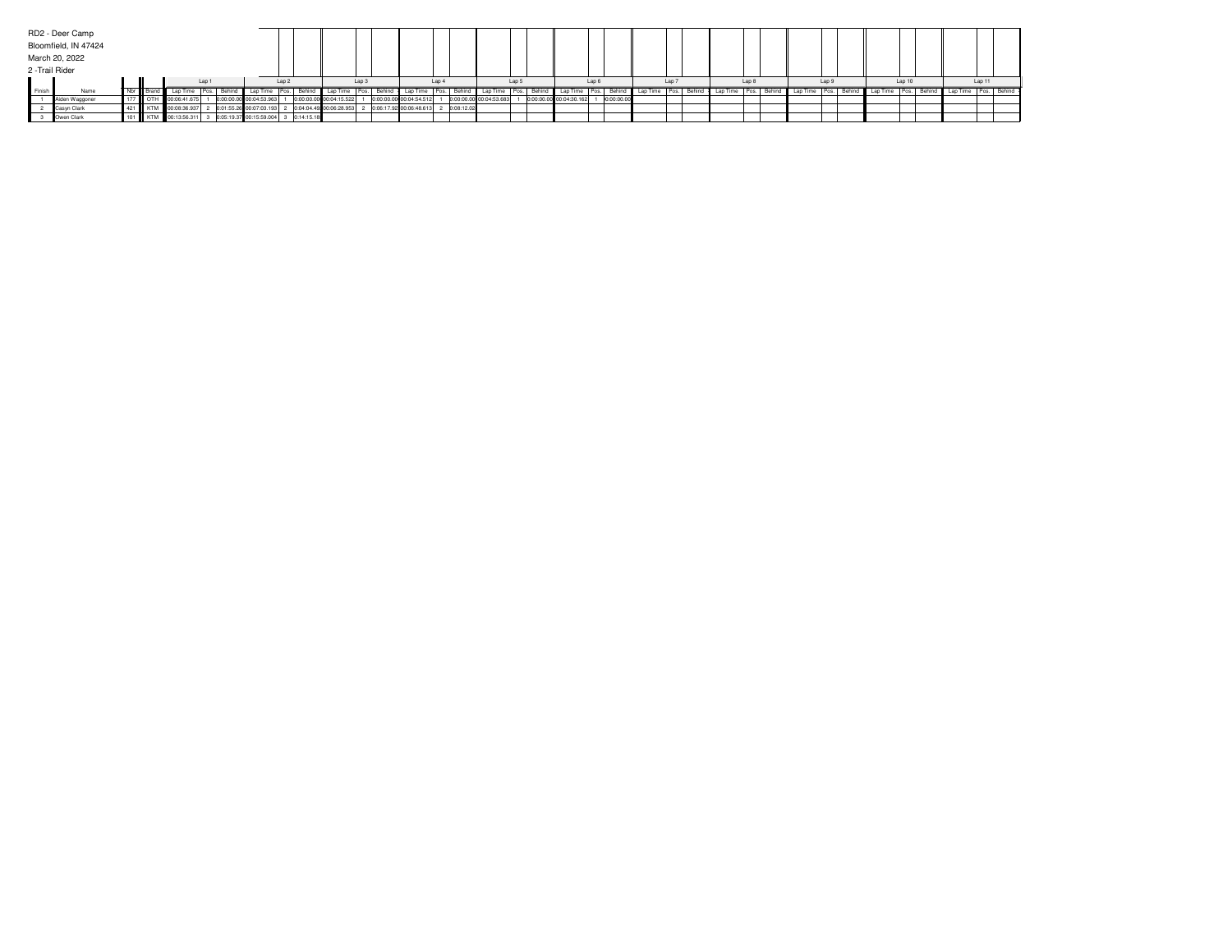|                 | RD2 - Deer Camp      |     |     |                      |        |        |                         |                  |                                      |                         |       |                         |             |                         |        |        |                         |            |                                     |  |       |             |          |       |                           |        |                          |        |  |
|-----------------|----------------------|-----|-----|----------------------|--------|--------|-------------------------|------------------|--------------------------------------|-------------------------|-------|-------------------------|-------------|-------------------------|--------|--------|-------------------------|------------|-------------------------------------|--|-------|-------------|----------|-------|---------------------------|--------|--------------------------|--------|--|
|                 | Bloomfield, IN 47424 |     |     |                      |        |        |                         |                  |                                      |                         |       |                         |             |                         |        |        |                         |            |                                     |  |       |             |          |       |                           |        |                          |        |  |
|                 | March 20, 2022       |     |     |                      |        |        |                         |                  |                                      |                         |       |                         |             |                         |        |        |                         |            |                                     |  |       |             |          |       |                           |        |                          |        |  |
| 2 - Trail Rider |                      |     |     |                      |        |        |                         |                  |                                      |                         |       |                         |             |                         |        |        |                         |            |                                     |  |       |             |          |       |                           |        |                          |        |  |
|                 |                      |     |     |                      | Lap 1  |        |                         | Lap <sub>2</sub> |                                      |                         | Lap 3 |                         | Lap 4       |                         | Lap 5  |        | Lap 6                   |            | Lap 7                               |  | Lap 8 |             |          | Lap 9 |                           | Lap 10 |                          | Lap 11 |  |
| d Finish        | Name                 |     |     | Lap Time             | I Pos. | Behind | Lap Time   Pos.         |                  | Behind                               | Lap Time                |       | Behind   Lap Time       | Pos. Behind | l Lap                   | I Pos. | Behind | ' Lap Time Pos.         | Behind     | Lap Time   Pos.   Behind   Lap Time |  |       | Pos. Behind | Lap Time |       | Pos. Behind Lap Time Pos. | Behind | Lap Time   Pos.   Behind |        |  |
|                 | Aiden Waggoner       | 177 | OTH | 00:06:41.675         |        |        | 0:00:00.00 00:04:53.963 |                  |                                      | 0:00:00.00 00:04:15.522 |       | 0:00:00.00 00:04:54.512 |             | 0:00:00.00 00:04:53.683 |        |        | 0:00:00.00 00:04:30.162 | 0:00:00.00 |                                     |  |       |             |          |       |                           |        |                          |        |  |
|                 | Casyn Clark          |     |     | KTM 00:08:36.937     |        |        | 0:01:55.26 00:07:03.193 |                  |                                      | 0:04:04.49 00:06:28.953 |       | 0:06:17.92 00:06:48.613 | 0:08:12.02  |                         |        |        |                         |            |                                     |  |       |             |          |       |                           |        |                          |        |  |
|                 | Owen Clark           |     |     | 101 KTM 00:13:56.311 |        |        |                         |                  | 0:05:19.37 00:15:59.004 3 0:14:15.18 |                         |       |                         |             |                         |        |        |                         |            |                                     |  |       |             |          |       |                           |        |                          |        |  |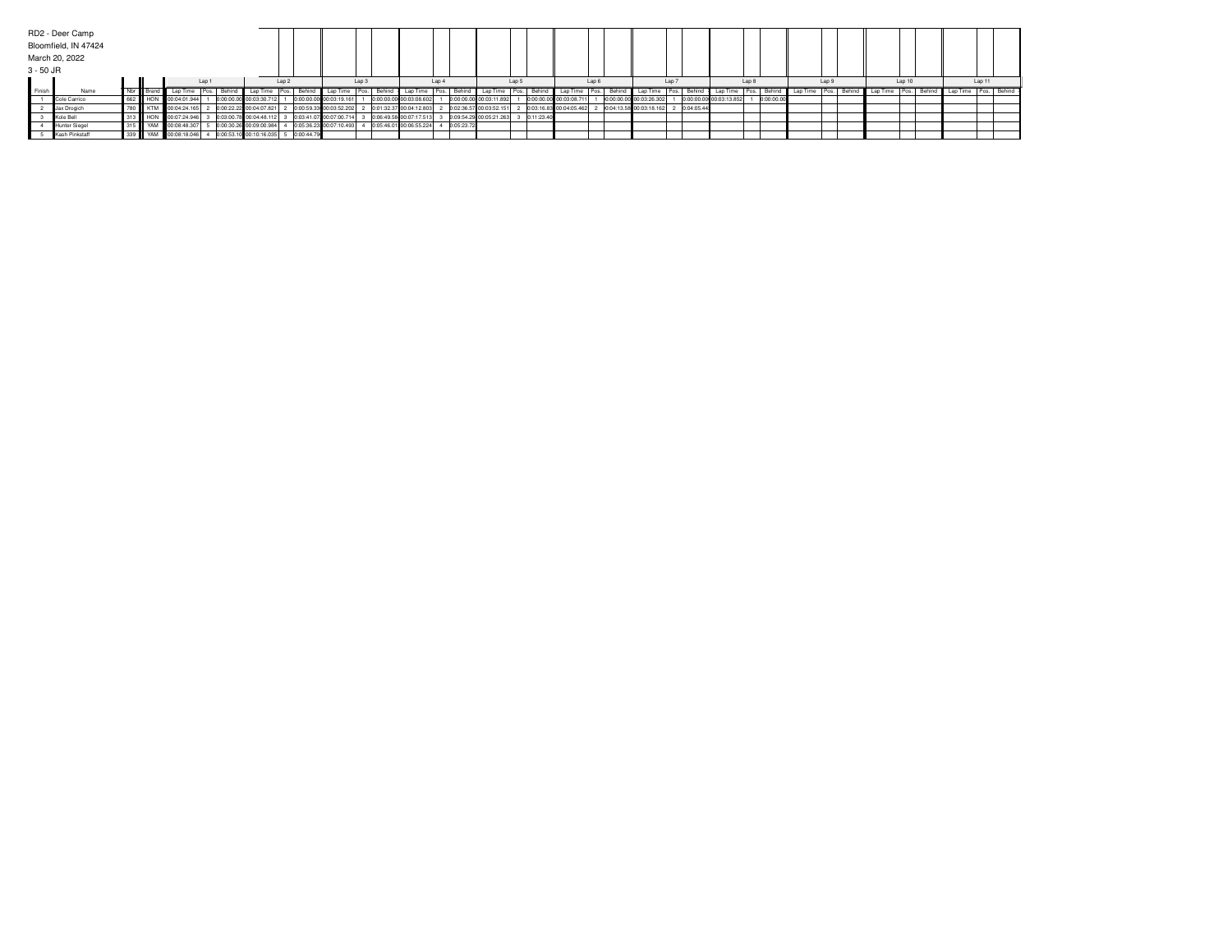|           | RD2 - Deer Camp      |     |           |                      |       |                     |                           |                  |            |                         |                         |             |                         |        |            |                         |        |                         |       |            |                         |       |            |          |                   |               |        |        |                          |        |  |
|-----------|----------------------|-----|-----------|----------------------|-------|---------------------|---------------------------|------------------|------------|-------------------------|-------------------------|-------------|-------------------------|--------|------------|-------------------------|--------|-------------------------|-------|------------|-------------------------|-------|------------|----------|-------------------|---------------|--------|--------|--------------------------|--------|--|
|           | Bloomfield, IN 47424 |     |           |                      |       |                     |                           |                  |            |                         |                         |             |                         |        |            |                         |        |                         |       |            |                         |       |            |          |                   |               |        |        |                          |        |  |
|           | March 20, 2022       |     |           |                      |       |                     |                           |                  |            |                         |                         |             |                         |        |            |                         |        |                         |       |            |                         |       |            |          |                   |               |        |        |                          |        |  |
| 3 - 50 JR |                      |     |           |                      |       |                     |                           |                  |            |                         |                         |             |                         |        |            |                         |        |                         |       |            |                         |       |            |          |                   |               |        |        |                          |        |  |
|           |                      |     |           |                      | Lap 1 |                     |                           | Lap <sub>2</sub> |            | Lap 3                   | Lap 4                   |             |                         | Lap 5  |            | Lap 6                   |        |                         | Lap 7 |            |                         | Lap 8 |            |          | Lap 9             |               | Lap 10 |        |                          | Lap 11 |  |
| Finish    | Name                 |     | Nbr Brand | Lap Time             | Pos.  | <sup>I</sup> Behing | Lap Time Pos.             |                  | Behind     | Lap Time<br>I Pos.      | Behind Lap Time         | Pos. Behind | Lap Time                | I Pos. | Behind     | Lap Time Pos.           | Behind | Lap Time   Pos.         |       |            | Behind Lap Time Pos.    |       | - I Behinu | Lap Time | ·   Pos.   Behind | Lap Time Pos. |        | Behind | Lap Time   Pos.   Behind |        |  |
|           | Cole Carrico         | 662 | HON       | 00:04:01.944         |       |                     | 0:00:00.00 00:03:30.712   |                  |            | 0:00:00.00 00:03:19.161 | 0:00:00.00 00:03:08.602 |             | 0:00:00.00 00:03:11.892 |        | 0:00:00.00 | 00:03:08.711            |        | 0:00:00.00 00:03:26.302 |       |            | 0:00:00.00 00:03:13.852 |       | 0:00:00.00 |          |                   |               |        |        |                          |        |  |
|           | Jax Drogich          |     |           | 780 KTM 00:04:24.165 |       |                     | 0:00:22.22 00:04:07.821   |                  |            | 0:00:59.33 00:03:52.202 | 0:01:32.37 00:04:12.803 |             | 0:02:36.57 00:03:52.151 |        |            | 0:03:16.83 00:04:05.462 |        | 0:04:13.58 00:03:18.162 |       | 0:04:05.44 |                         |       |            |          |                   |               |        |        |                          |        |  |
|           | Kole Bell            |     |           | HON 00:07:24.946     |       |                     | 0:03:00.78 00:04:48.112   |                  |            | 0:03:41.07 00:07:00.714 | 0:06:49.58 00:07:17.513 |             | 0:09:54.29 00:05:21.263 |        | 0:11:23.40 |                         |        |                         |       |            |                         |       |            |          |                   |               |        |        |                          |        |  |
|           | Hunter Siegel        |     | YAN       | 00:08:48.307         |       |                     | 0:00:30.26 00:09:00.984   |                  |            | 0:05:36.23 00:07:10.493 | 0:05:46.01 00:06:55.224 | 0:05:23.72  |                         |        |            |                         |        |                         |       |            |                         |       |            |          |                   |               |        |        |                          |        |  |
|           | Kash Pinkstaff       | 339 | YAM       | 00:08:18.046         |       |                     | 0:00:53.10 00:10:16.035 5 |                  | 0:00:44.79 |                         |                         |             |                         |        |            |                         |        |                         |       |            |                         |       |            |          |                   |               |        |        |                          |        |  |